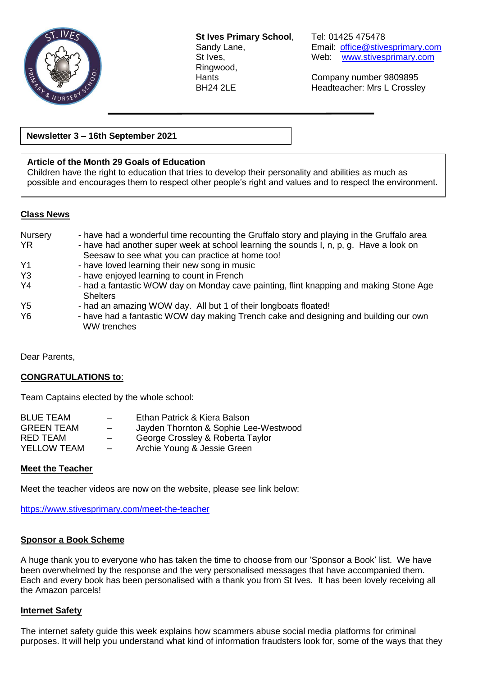

**St Ives Primary School**, Tel: 01425 475478 Ringwood,

Sandy Lane, Email: [office@stivesprimary.com](mailto:office@stivesprimary.com) St Ives, Web: [www.stivesprimary.com](http://www.stives.dorset.sch.uk/)

Hants Company number 9809895 BH24 2LE Headteacher: Mrs L Crossley

**Newsletter 3 – 16th September 2021**

### **Article of the Month 29 Goals of Education**

Children have the right to education that tries to develop their personality and abilities as much as possible and encourages them to respect other people's right and values and to respect the environment.

### **Class News**

| Nursery        | - have had a wonderful time recounting the Gruffalo story and playing in the Gruffalo area                 |
|----------------|------------------------------------------------------------------------------------------------------------|
| YR.            | - have had another super week at school learning the sounds I, n, p, g. Have a look on                     |
|                | Seesaw to see what you can practice at home too!                                                           |
| Y1             | - have loved learning their new song in music                                                              |
| Y3             | - have enjoyed learning to count in French                                                                 |
| Y4             | - had a fantastic WOW day on Monday cave painting, flint knapping and making Stone Age<br><b>Shelters</b>  |
| Y5             | - had an amazing WOW day. All but 1 of their longboats floated!                                            |
| Y <sub>6</sub> | - have had a fantastic WOW day making Trench cake and designing and building our own<br><b>WW</b> trenches |

Dear Parents,

#### **CONGRATULATIONS to**:

Team Captains elected by the whole school:

| <b>BLUE TEAM</b>   | $\overline{\phantom{0}}$ | Ethan Patrick & Kiera Balson          |
|--------------------|--------------------------|---------------------------------------|
| <b>GREEN TEAM</b>  | $-$                      | Jayden Thornton & Sophie Lee-Westwood |
| RED TEAM           | $\overline{\phantom{0}}$ | George Crossley & Roberta Taylor      |
| <b>YELLOW TEAM</b> | $\overline{\phantom{0}}$ | Archie Young & Jessie Green           |
|                    |                          |                                       |

### **Meet the Teacher**

Meet the teacher videos are now on the website, please see link below:

<https://www.stivesprimary.com/meet-the-teacher>

#### **Sponsor a Book Scheme**

A huge thank you to everyone who has taken the time to choose from our 'Sponsor a Book' list. We have been overwhelmed by the response and the very personalised messages that have accompanied them. Each and every book has been personalised with a thank you from St Ives. It has been lovely receiving all the Amazon parcels!

#### **Internet Safety**

The internet safety guide this week explains how scammers abuse social media platforms for criminal purposes. It will help you understand what kind of information fraudsters look for, some of the ways that they